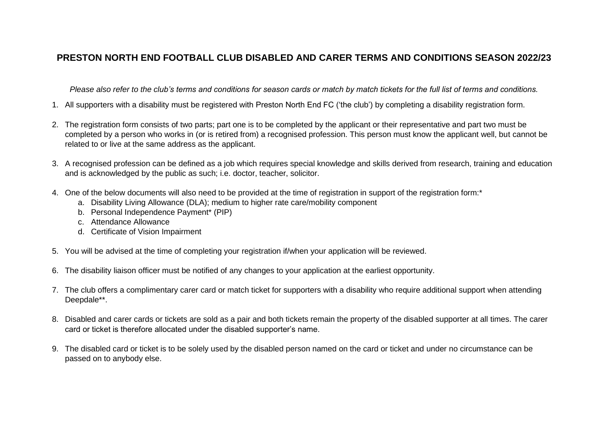## **PRESTON NORTH END FOOTBALL CLUB DISABLED AND CARER TERMS AND CONDITIONS SEASON 2022/23**

*Please also refer to the club's terms and conditions for season cards or match by match tickets for the full list of terms and conditions.* 

- 1. All supporters with a disability must be registered with Preston North End FC ('the club') by completing a disability registration form.
- 2. The registration form consists of two parts; part one is to be completed by the applicant or their representative and part two must be completed by a person who works in (or is retired from) a recognised profession. This person must know the applicant well, but cannot be related to or live at the same address as the applicant.
- 3. A recognised profession can be defined as a job which requires special knowledge and skills derived from research, training and education and is acknowledged by the public as such; i.e. doctor, teacher, solicitor.
- 4. One of the below documents will also need to be provided at the time of registration in support of the registration form:<sup>\*</sup>
	- a. Disability Living Allowance (DLA); medium to higher rate care/mobility component
	- b. Personal Independence Payment\* (PIP)
	- c. Attendance Allowance
	- d. Certificate of Vision Impairment
- 5. You will be advised at the time of completing your registration if/when your application will be reviewed.
- 6. The disability liaison officer must be notified of any changes to your application at the earliest opportunity.
- 7. The club offers a complimentary carer card or match ticket for supporters with a disability who require additional support when attending Deepdale\*\*.
- 8. Disabled and carer cards or tickets are sold as a pair and both tickets remain the property of the disabled supporter at all times. The carer card or ticket is therefore allocated under the disabled supporter's name.
- 9. The disabled card or ticket is to be solely used by the disabled person named on the card or ticket and under no circumstance can be passed on to anybody else.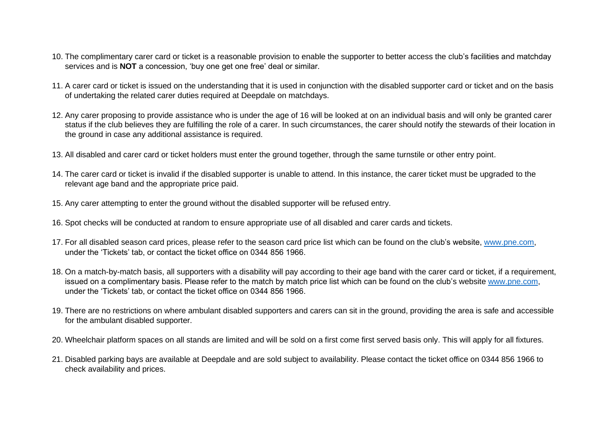- 10. The complimentary carer card or ticket is a reasonable provision to enable the supporter to better access the club's facilities and matchday services and is **NOT** a concession, 'buy one get one free' deal or similar.
- 11. A carer card or ticket is issued on the understanding that it is used in conjunction with the disabled supporter card or ticket and on the basis of undertaking the related carer duties required at Deepdale on matchdays.
- 12. Any carer proposing to provide assistance who is under the age of 16 will be looked at on an individual basis and will only be granted carer status if the club believes they are fulfilling the role of a carer. In such circumstances, the carer should notify the stewards of their location in the ground in case any additional assistance is required.
- 13. All disabled and carer card or ticket holders must enter the ground together, through the same turnstile or other entry point.
- 14. The carer card or ticket is invalid if the disabled supporter is unable to attend. In this instance, the carer ticket must be upgraded to the relevant age band and the appropriate price paid.
- 15. Any carer attempting to enter the ground without the disabled supporter will be refused entry.
- 16. Spot checks will be conducted at random to ensure appropriate use of all disabled and carer cards and tickets.
- 17. For all disabled season card prices, please refer to the season card price list which can be found on the club's website, [www.pne.com,](http://www.pne.com/) under the 'Tickets' tab, or contact the ticket office on 0344 856 1966.
- 18. On a match-by-match basis, all supporters with a disability will pay according to their age band with the carer card or ticket, if a requirement, issued on a complimentary basis. Please refer to the match by match price list which can be found on the club's website [www.pne.com,](http://www.pne.com/) under the 'Tickets' tab, or contact the ticket office on 0344 856 1966.
- 19. There are no restrictions on where ambulant disabled supporters and carers can sit in the ground, providing the area is safe and accessible for the ambulant disabled supporter.
- 20. Wheelchair platform spaces on all stands are limited and will be sold on a first come first served basis only. This will apply for all fixtures.
- 21. Disabled parking bays are available at Deepdale and are sold subject to availability. Please contact the ticket office on 0344 856 1966 to check availability and prices.